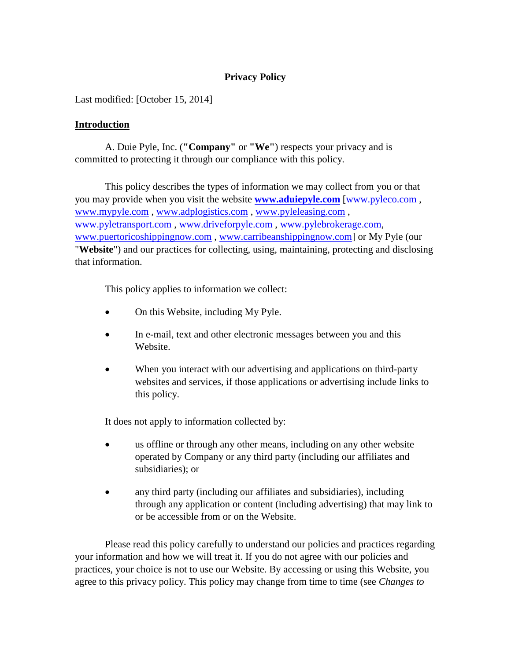# **Privacy Policy**

Last modified: [October 15, 2014]

## **Introduction**

A. Duie Pyle, Inc. (**"Company"** or **"We"**) respects your privacy and is committed to protecting it through our compliance with this policy.

This policy describes the types of information we may collect from you or that you may provide when you visit the website **[www.aduiepyle.com](http://www.aduiepyle.com/)** [\[www.pyleco.com](http://www.pyleco.com/) , [www.mypyle.com](http://www.mypyle.com/) , [www.adplogistics.com](http://www.adplogistics.com/) , [www.pyleleasing.com](http://www.pyleleasing.com/) , [www.pyletransport.com](http://www.pyletransport.com/) , [www.driveforpyle.com](http://www.driveforpyle.com/) , [www.pylebrokerage.com,](http://www.pylebrokerage.com/) [www.puertoricoshippingnow.com](http://www.puertoricoshippingnow.com/) , [www.carribeanshippingnow.com\]](http://www.carribeanshippingnow.com/) or My Pyle (our "**Website**") and our practices for collecting, using, maintaining, protecting and disclosing that information.

This policy applies to information we collect:

- On this Website, including My Pyle.
- In e-mail, text and other electronic messages between you and this Website.
- When you interact with our advertising and applications on third-party websites and services, if those applications or advertising include links to this policy.

It does not apply to information collected by:

- us offline or through any other means, including on any other website operated by Company or any third party (including our affiliates and subsidiaries); or
- any third party (including our affiliates and subsidiaries), including through any application or content (including advertising) that may link to or be accessible from or on the Website.

Please read this policy carefully to understand our policies and practices regarding your information and how we will treat it. If you do not agree with our policies and practices, your choice is not to use our Website. By accessing or using this Website, you agree to this privacy policy. This policy may change from time to time (see *Changes to*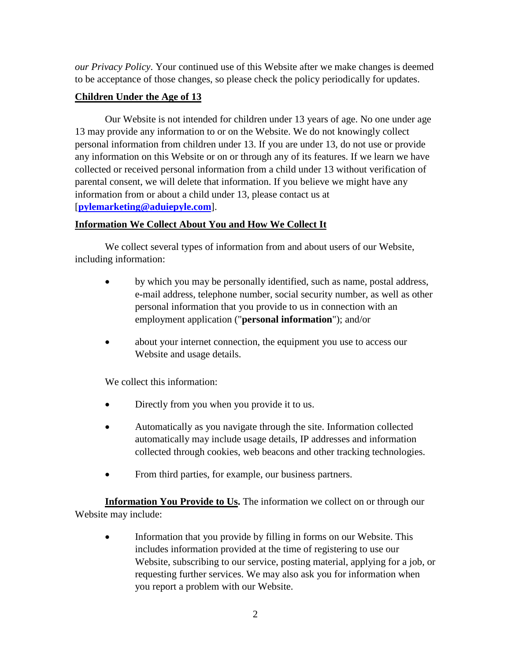*our Privacy Policy*. Your continued use of this Website after we make changes is deemed to be acceptance of those changes, so please check the policy periodically for updates.

# **Children Under the Age of 13**

Our Website is not intended for children under 13 years of age. No one under age 13 may provide any information to or on the Website. We do not knowingly collect personal information from children under 13. If you are under 13, do not use or provide any information on this Website or on or through any of its features. If we learn we have collected or received personal information from a child under 13 without verification of parental consent, we will delete that information. If you believe we might have any information from or about a child under 13, please contact us at [**[pylemarketing@aduiepyle.com](mailto:pylemarketing@aduiepyle.com?subject=Privacy%20Policy)**].

# **Information We Collect About You and How We Collect It**

We collect several types of information from and about users of our Website, including information:

- by which you may be personally identified, such as name, postal address, e-mail address, telephone number, social security number, as well as other personal information that you provide to us in connection with an employment application ("**personal information**"); and/or
- about your internet connection, the equipment you use to access our Website and usage details.

We collect this information:

- Directly from you when you provide it to us.
- Automatically as you navigate through the site. Information collected automatically may include usage details, IP addresses and information collected through cookies, web beacons and other tracking technologies.
- From third parties, for example, our business partners.

**Information You Provide to Us.** The information we collect on or through our Website may include:

• Information that you provide by filling in forms on our Website. This includes information provided at the time of registering to use our Website, subscribing to our service, posting material, applying for a job, or requesting further services. We may also ask you for information when you report a problem with our Website.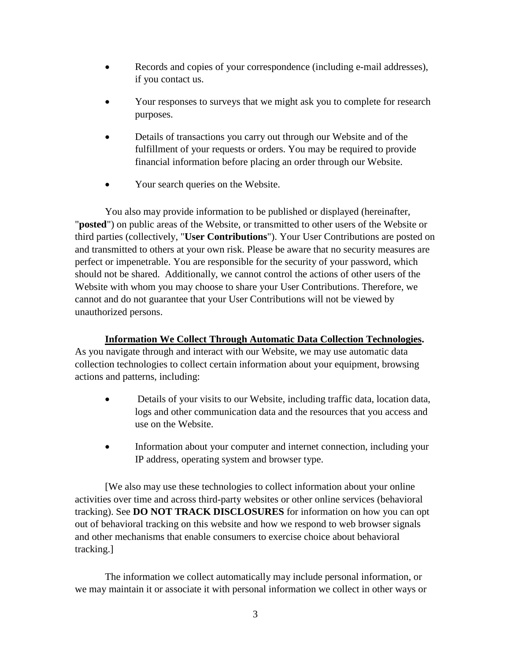- Records and copies of your correspondence (including e-mail addresses), if you contact us.
- Your responses to surveys that we might ask you to complete for research purposes.
- Details of transactions you carry out through our Website and of the fulfillment of your requests or orders. You may be required to provide financial information before placing an order through our Website.
- Your search queries on the Website.

You also may provide information to be published or displayed (hereinafter, "**posted**") on public areas of the Website, or transmitted to other users of the Website or third parties (collectively, "**User Contributions**"). Your User Contributions are posted on and transmitted to others at your own risk. Please be aware that no security measures are perfect or impenetrable. You are responsible for the security of your password, which should not be shared. Additionally, we cannot control the actions of other users of the Website with whom you may choose to share your User Contributions. Therefore, we cannot and do not guarantee that your User Contributions will not be viewed by unauthorized persons.

# **Information We Collect Through Automatic Data Collection Technologies.**

As you navigate through and interact with our Website, we may use automatic data collection technologies to collect certain information about your equipment, browsing actions and patterns, including:

- Details of your visits to our Website, including traffic data, location data, logs and other communication data and the resources that you access and use on the Website.
- Information about your computer and internet connection, including your IP address, operating system and browser type.

[We also may use these technologies to collect information about your online activities over time and across third-party websites or other online services (behavioral tracking). See **DO NOT TRACK DISCLOSURES** for information on how you can opt out of behavioral tracking on this website and how we respond to web browser signals and other mechanisms that enable consumers to exercise choice about behavioral tracking.]

The information we collect automatically may include personal information, or we may maintain it or associate it with personal information we collect in other ways or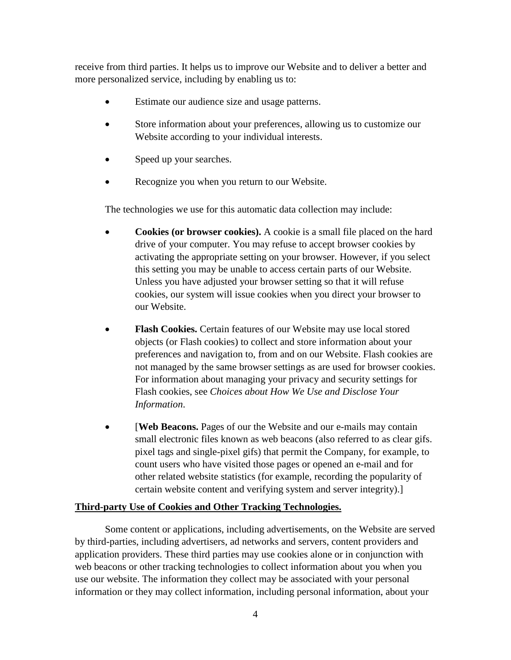receive from third parties. It helps us to improve our Website and to deliver a better and more personalized service, including by enabling us to:

- Estimate our audience size and usage patterns.
- Store information about your preferences, allowing us to customize our Website according to your individual interests.
- Speed up your searches.
- Recognize you when you return to our Website.

The technologies we use for this automatic data collection may include:

- **Cookies (or browser cookies).** A cookie is a small file placed on the hard drive of your computer. You may refuse to accept browser cookies by activating the appropriate setting on your browser. However, if you select this setting you may be unable to access certain parts of our Website. Unless you have adjusted your browser setting so that it will refuse cookies, our system will issue cookies when you direct your browser to our Website.
- **Flash Cookies.** Certain features of our Website may use local stored objects (or Flash cookies) to collect and store information about your preferences and navigation to, from and on our Website. Flash cookies are not managed by the same browser settings as are used for browser cookies. For information about managing your privacy and security settings for Flash cookies, see *Choices about How We Use and Disclose Your Information*.
- **[Web Beacons.** Pages of our the Website and our e-mails may contain small electronic files known as web beacons (also referred to as clear gifs. pixel tags and single-pixel gifs) that permit the Company, for example, to count users who have visited those pages or opened an e-mail and for other related website statistics (for example, recording the popularity of certain website content and verifying system and server integrity).]

## **Third-party Use of Cookies and Other Tracking Technologies.**

Some content or applications, including advertisements, on the Website are served by third-parties, including advertisers, ad networks and servers, content providers and application providers. These third parties may use cookies alone or in conjunction with web beacons or other tracking technologies to collect information about you when you use our website. The information they collect may be associated with your personal information or they may collect information, including personal information, about your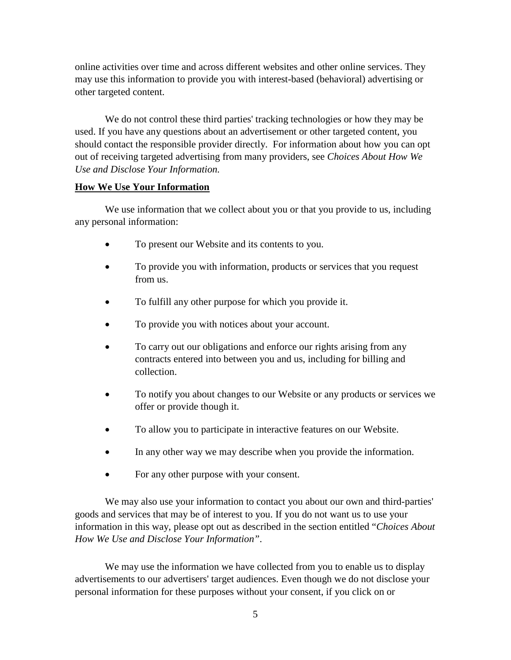online activities over time and across different websites and other online services. They may use this information to provide you with interest-based (behavioral) advertising or other targeted content.

We do not control these third parties' tracking technologies or how they may be used. If you have any questions about an advertisement or other targeted content, you should contact the responsible provider directly. For information about how you can opt out of receiving targeted advertising from many providers, see *Choices About How We Use and Disclose Your Information.*

#### **How We Use Your Information**

We use information that we collect about you or that you provide to us, including any personal information:

- To present our Website and its contents to you.
- To provide you with information, products or services that you request from us.
- To fulfill any other purpose for which you provide it.
- To provide you with notices about your account.
- To carry out our obligations and enforce our rights arising from any contracts entered into between you and us, including for billing and collection.
- To notify you about changes to our Website or any products or services we offer or provide though it.
- To allow you to participate in interactive features on our Website.
- In any other way we may describe when you provide the information.
- For any other purpose with your consent.

We may also use your information to contact you about our own and third-parties' goods and services that may be of interest to you. If you do not want us to use your information in this way, please opt out as described in the section entitled "*Choices About How We Use and Disclose Your Information"*.

We may use the information we have collected from you to enable us to display advertisements to our advertisers' target audiences. Even though we do not disclose your personal information for these purposes without your consent, if you click on or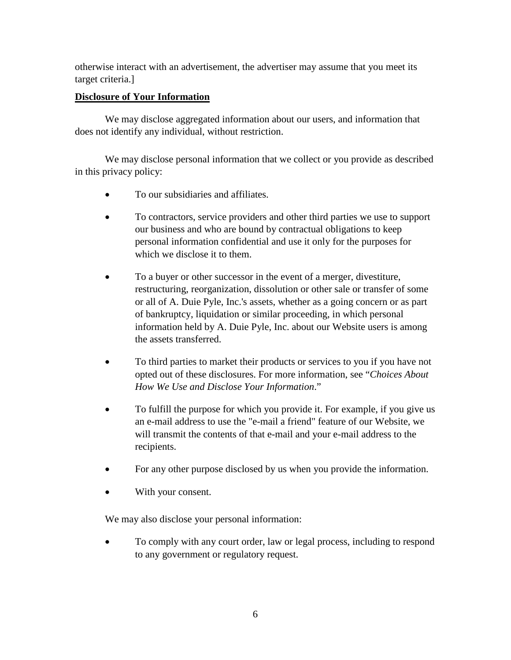otherwise interact with an advertisement, the advertiser may assume that you meet its target criteria.]

# **Disclosure of Your Information**

We may disclose aggregated information about our users, and information that does not identify any individual, without restriction.

We may disclose personal information that we collect or you provide as described in this privacy policy:

- To our subsidiaries and affiliates.
- To contractors, service providers and other third parties we use to support our business and who are bound by contractual obligations to keep personal information confidential and use it only for the purposes for which we disclose it to them.
- To a buyer or other successor in the event of a merger, divestiture, restructuring, reorganization, dissolution or other sale or transfer of some or all of A. Duie Pyle, Inc.'s assets, whether as a going concern or as part of bankruptcy, liquidation or similar proceeding, in which personal information held by A. Duie Pyle, Inc. about our Website users is among the assets transferred.
- To third parties to market their products or services to you if you have not opted out of these disclosures. For more information, see "*Choices About How We Use and Disclose Your Information*."
- To fulfill the purpose for which you provide it. For example, if you give us an e-mail address to use the "e-mail a friend" feature of our Website, we will transmit the contents of that e-mail and your e-mail address to the recipients.
- For any other purpose disclosed by us when you provide the information.
- With your consent.

We may also disclose your personal information:

• To comply with any court order, law or legal process, including to respond to any government or regulatory request.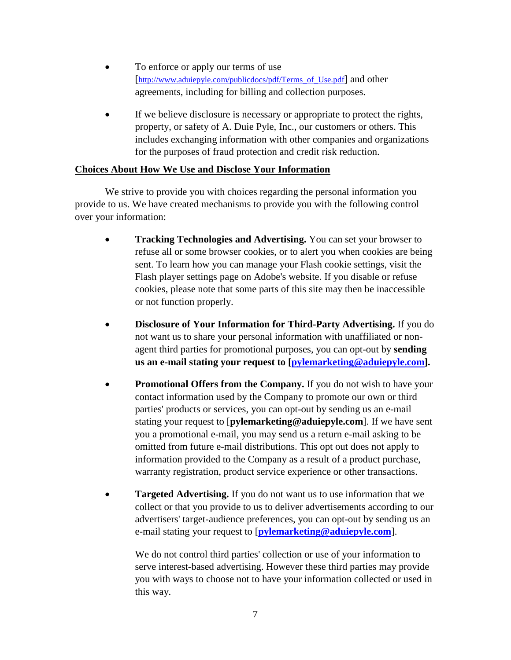- To enforce or apply our terms of use [\[http://www.aduiepyle.com/publicdocs/pdf/Terms\\_of\\_Use.pdf\]](http://www.aduiepyle.com/publicdocs/pdf/Terms_of_Use.pdf) and other agreements, including for billing and collection purposes.
- If we believe disclosure is necessary or appropriate to protect the rights, property, or safety of A. Duie Pyle, Inc., our customers or others. This includes exchanging information with other companies and organizations for the purposes of fraud protection and credit risk reduction.

## **Choices About How We Use and Disclose Your Information**

We strive to provide you with choices regarding the personal information you provide to us. We have created mechanisms to provide you with the following control over your information:

- **Tracking Technologies and Advertising.** You can set your browser to refuse all or some browser cookies, or to alert you when cookies are being sent. To learn how you can manage your Flash cookie settings, visit the Flash player settings page on Adobe's website. If you disable or refuse cookies, please note that some parts of this site may then be inaccessible or not function properly.
- **Disclosure of Your Information for Third-Party Advertising.** If you do not want us to share your personal information with unaffiliated or nonagent third parties for promotional purposes, you can opt-out by **sending us an e-mail stating your request to [\[pylemarketing@aduiepyle.com\]](mailto:pylemarketing@aduiepyle.com?subject=Privacy%20Policy).**
- **Promotional Offers from the Company.** If you do not wish to have your contact information used by the Company to promote our own or third parties' products or services, you can opt-out by sending us an e-mail stating your request to [**pylemarketing@aduiepyle.com**]. If we have sent you a promotional e-mail, you may send us a return e-mail asking to be omitted from future e-mail distributions. This opt out does not apply to information provided to the Company as a result of a product purchase, warranty registration, product service experience or other transactions.
- **Targeted Advertising.** If you do not want us to use information that we collect or that you provide to us to deliver advertisements according to our advertisers' target-audience preferences, you can opt-out by sending us an e-mail stating your request to [**[pylemarketing@aduiepyle.com](mailto:pylemarketing@aduiepyle.com?subject=Privacy%20Policy)**].

We do not control third parties' collection or use of your information to serve interest-based advertising. However these third parties may provide you with ways to choose not to have your information collected or used in this way.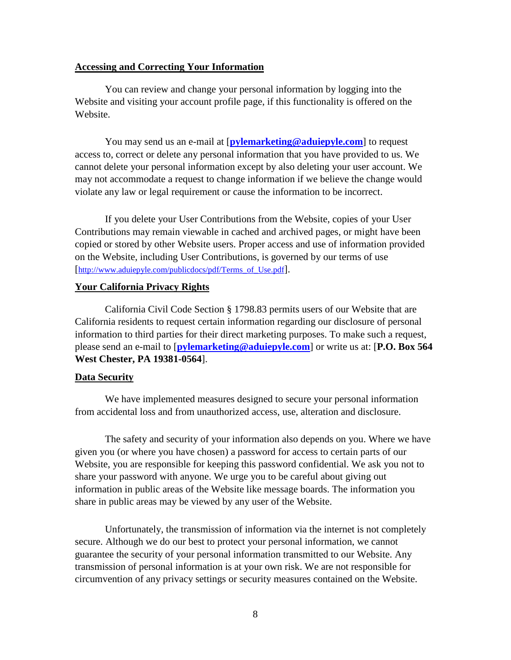#### **Accessing and Correcting Your Information**

You can review and change your personal information by logging into the Website and visiting your account profile page, if this functionality is offered on the Website.

You may send us an e-mail at [**[pylemarketing@aduiepyle.com](mailto:pylemarketing@aduiepyle.com?subject=Privacy%20Policy)**] to request access to, correct or delete any personal information that you have provided to us. We cannot delete your personal information except by also deleting your user account. We may not accommodate a request to change information if we believe the change would violate any law or legal requirement or cause the information to be incorrect.

If you delete your User Contributions from the Website, copies of your User Contributions may remain viewable in cached and archived pages, or might have been copied or stored by other Website users. Proper access and use of information provided on the Website, including User Contributions, is governed by our terms of use [http://www.aduiepyle.com/publicdocs/pdf/Terms of Use.pdf].

#### **Your California Privacy Rights**

California Civil Code Section § 1798.83 permits users of our Website that are California residents to request certain information regarding our disclosure of personal information to third parties for their direct marketing purposes. To make such a request, please send an e-mail to [**[pylemarketing@aduiepyle.com](mailto:pylemarketing@aduiepyle.com?subject=Privacy%20Policy)**] or write us at: [**P.O. Box 564 West Chester, PA 19381-0564**].

#### **Data Security**

We have implemented measures designed to secure your personal information from accidental loss and from unauthorized access, use, alteration and disclosure.

The safety and security of your information also depends on you. Where we have given you (or where you have chosen) a password for access to certain parts of our Website, you are responsible for keeping this password confidential. We ask you not to share your password with anyone. We urge you to be careful about giving out information in public areas of the Website like message boards. The information you share in public areas may be viewed by any user of the Website.

Unfortunately, the transmission of information via the internet is not completely secure. Although we do our best to protect your personal information, we cannot guarantee the security of your personal information transmitted to our Website. Any transmission of personal information is at your own risk. We are not responsible for circumvention of any privacy settings or security measures contained on the Website.